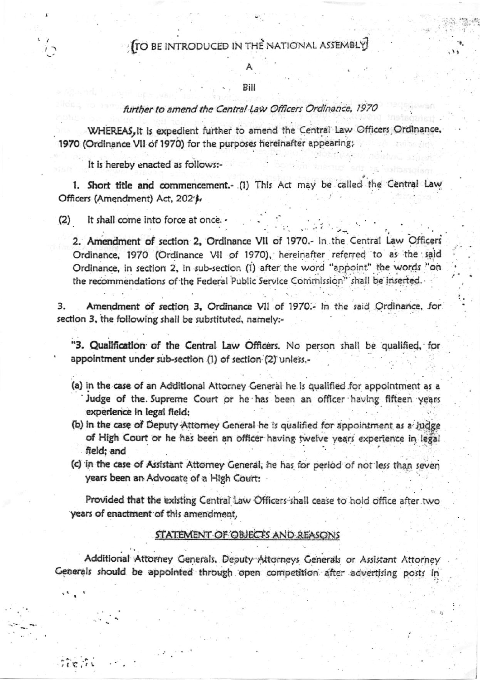## Bill

## further to amend the Central Law Officers Ordinance, 1970

WHEREAS, it is expedient further to amend the Central Law Officers Ordinance 1970 (Ordinance VII of 1970) for the purposes hereinafter appearing;

It is hereby enacted as follows:-

1. Short title and commencement.- (1) This Act may be called the Central Law Officers (Amendment) Act, 202'),

 $(2)$ It shall come into force at once.

 $11.217$ 

2. Amendment of section 2, Ordinance VII of 1970.- In the Central Law Officers Ordinance, 1970 (Ordinance VII of 1970), hereinafter referred to as the said Ordinance, in section 2, in sub-section (1) after the word "appoint" the words "on the recommendations of the Federal Public Service Commission" shall be inserted.

Amendment of section 3, Ordinance VII of 1970.- In the said Ordinance, for 3. section 3, the following shall be substituted, namely:-

"3. Qualification of the Central Law Officers. No person shall be qualified, for appointment under sub-section (1) of section (2) unless,-

- (a) in the case of an Additional Attorney General he is qualified for appointment as a Judge of the Supreme Court or he has been an officer having fifteen years experience in legal field;
- (b) in the case of Deputy Attorney General he is qualified for appointment as a Judge of High Court or he has been an officer having twelve years experience in legal field: and
- (c) in the case of Assistant Attorney General, he has for period of not less than seven years been an Advocate of a High Court:

Provided that the existing Central Law Officers shall cease to hold office after two years of enactment of this amendment,

## **STATEMENT OF OBJECTS AND REASONS**

Additional Attorney Generals, Deputy Attorneys Generals or Assistant Attorney Generals should be appointed through open competition after advertising posts in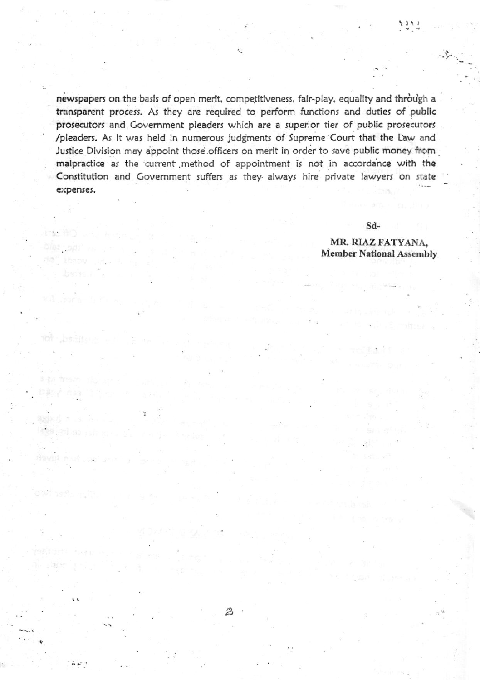newspapers on the basis of open merit, competitiveness, fair-play, equality and through a transparent process. As they are required to perform functions and duties of public prosecutors and Government pleaders which are a superior tier of public prosecutors /pleaders. As it was held in numerous judgments of Supreme Court that the Law and Justice Division may appoint those officers on merit in order to save public money from malpractice as the current method of appointment is not in accordance with the Constitution and Government suffers as they always hire private lawyers on state expenses.

Sd-

MR. RIAZ FATYANA. **Member National Assembly** 

 $\overrightarrow{i}$